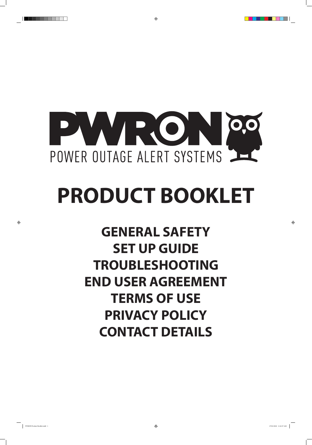

 $\bigoplus$ 

# **PRODUCT BOOKLET**

**GENERAL SAFETY SET UP GUIDE TROUBLESHOOTING END USER AGREEMENT TERMS OF USE PRIVACY POLICY CONTACT DETAILS**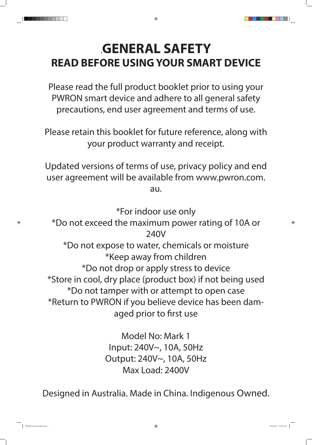

## **.GENERAL SAFETY READ BEFORE USING YOUR SMART DEVICE**

 $\bigoplus$ 

Please read the full product booklet prior to using your PWRON smart device and adhere to all general safety precautions, end user agreement and terms of use.

Please retain this booklet for future reference, along with your product warranty and receipt.

Updated versions of terms of use, privacy policy and end user agreement will be available from www.pwron.com. au.

\*For indoor use only \*Do not exceed the maximum power rating of 10A or 240V \*Do not expose to water, chemicals or moisture

 $\bigoplus$ 

\*Keep away from children \*Do not drop or apply stress to device \*Store in cool, dry place (product box) if not being used \*Do not tamper with or attempt to open case \*Return to PWRON if you believe device has been damaged prior to first use

> Model No: Mark 1 Input: 240V~, 10A, 50Hz Output: 240V~, 10A, 50Hz Max Load: 2400V

Designed in Australia. Made in China. Indigenous Owned.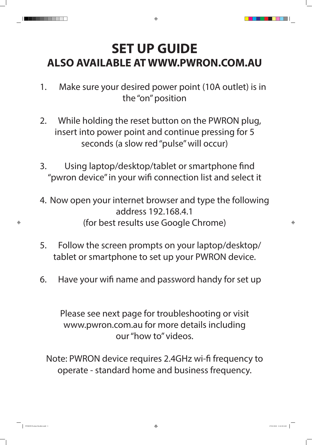

 $\bigoplus$ 

- 1. Make sure your desired power point (10A outlet) is in the "on" position
- 2. While holding the reset button on the PWRON plug, insert into power point and continue pressing for 5 seconds (a slow red "pulse" will occur)
- 3. Using laptop/desktop/tablet or smartphone find "pwron device" in your wifi connection list and select it
- 4. Now open your internet browser and type the following address 192.168.4.1 (for best results use Google Chrome)
- 5. Follow the screen prompts on your laptop/desktop/

tablet or smartphone to set up your PWRON device.

6. Have your wifi name and password handy for set up

Please see next page for troubleshooting or visit www.pwron.com.au for more details including our "how to" videos.

Note: PWRON device requires 2.4GHz wi-fi frequency to operate - standard home and business frequency.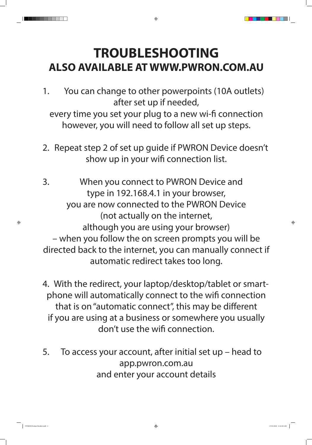

 $\bigoplus$ 

- 1. You can change to other powerpoints (10A outlets) after set up if needed, every time you set your plug to a new wi-fi connection however, you will need to follow all set up steps.
- 2. Repeat step 2 of set up guide if PWRON Device doesn't show up in your wifi connection list.
- 3. When you connect to PWRON Device and type in 192.168.4.1 in your browser, you are now connected to the PWRON Device (not actually on the internet, although you are using your browser) – when you follow the on screen prompts you will be directed back to the internet, you can manually connect if

automatic redirect takes too long.

- 4. With the redirect, your laptop/desktop/tablet or smartphone will automatically connect to the wifi connection that is on "automatic connect", this may be different if you are using at a business or somewhere you usually don't use the wifi connection.
- 5. To access your account, after initial set up head to app.pwron.com.au and enter your account details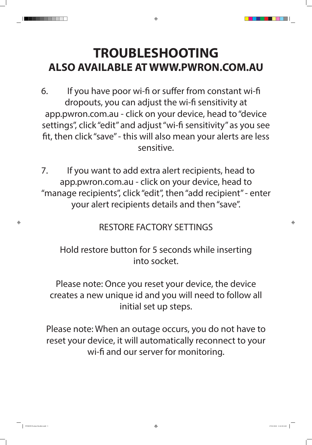

⊕

- 6. If you have poor wi-fi or suffer from constant wi-fi dropouts, you can adjust the wi-fi sensitivity at app.pwron.com.au - click on your device, head to "device settings", click "edit" and adjust "wi-fi sensitivity" as you see fit, then click "save" - this will also mean your alerts are less sensitive.
- 7. If you want to add extra alert recipients, head to app.pwron.com.au - click on your device, head to "manage recipients", click "edit", then "add recipient" - enter your alert recipients details and then "save".

## RESTORE FACTORY SETTINGS

## Hold restore button for 5 seconds while inserting into socket.

Please note: Once you reset your device, the device creates a new unique id and you will need to follow all initial set up steps.

Please note: When an outage occurs, you do not have to reset your device, it will automatically reconnect to your wi-fi and our server for monitoring.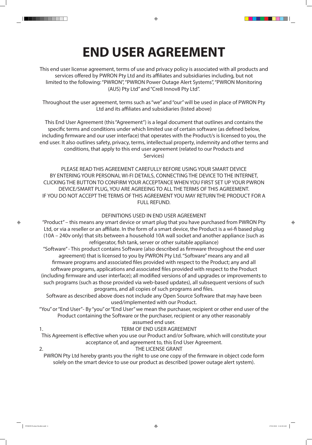

## **END USER AGREEMENT**

 $\bigoplus$ 

This end user license agreement, terms of use and privacy policy is associated with all products and services offered by PWRON Pty Ltd and its affiliates and subsidiaries including, but not limited to the following: "PWRON", "PWRON Power Outage Alert Systems", "PWRON Monitoring (AUS) Pty Ltd" and "Cre8 Innov8 Pty Ltd".

Throughout the user agreement, terms such as "we" and "our" will be used in place of PWRON Pty Ltd and its affiliates and subsidiaries (listed above)

This End User Agreement (this "Agreement") is a legal document that outlines and contains the specific terms and conditions under which limited use of certain software (as defined below, including firmware and our user interface) that operates with the Product/s is licensed to you, the end user. It also outlines safety, privacy, terms, intellectual property, indemnity and other terms and conditions, that apply to this end user agreement (related to our Products and Services)

PLEASE READ THIS AGREEMENT CAREFULLY BEFORE USING YOUR SMART DEVICE BY ENTERING YOUR PERSONAL WI-FI DETAILS, CONNECTING THE DEVICE TO THE INTERNET, CLICKING THE BUTTON TO CONFIRM YOUR ACCEPTANCE WHEN YOU FIRST SET UP YOUR PWRON DEVICE/SMART PLUG, YOU ARE AGREEING TO ALL THE TERMS OF THIS AGREEMENT. IF YOU DO NOT ACCEPT THE TERMS OF THIS AGREEMENT YOU MAY RETURN THE PRODUCT FOR A FULL REFUND.

#### DEFINITIONS USED IN END USER AGREEMENT

"Product" – this means any smart device or smart plug that you have purchased from PWRON Pty Ltd, or via a reseller or an affiliate. In the form of a smart device, the Product is a wi-fi based plug (10A – 240v only) that sits between a household 10A wall socket and another appliance (such as refrigerator, fish tank, server or other suitable appliance)

"Software" - This product contains Software (also described as firmware throughout the end user agreement) that is licensed to you by PWRON Pty Ltd. "Software" means any and all firmware programs and associated files provided with respect to the Product; any and all software programs, applications and associated files provided with respect to the Product (including firmware and user interface); all modified versions of and upgrades or improvements to such programs (such as those provided via web-based updates), all subsequent versions of such programs, and all copies of such programs and files. Software as described above does not include any Open Source Software that may have been used/implemented with our Product. "You" or "End User"- By "you" or "End User" we mean the purchaser, recipient or other end user of the Product containing the Software or the purchaser, recipient or any other reasonably assumed end user.

## 1. TERM OF END USER AGREEMENT

This Agreement is effective when you use our Product and/or Software, which will constitute your acceptance of, and agreement to, this End User Agreement.

#### 2. THE LICENSE GRANT

 $\bigoplus$ 

\_\_\_\_\_

PWRON Pty Ltd hereby grants you the right to use one copy of the firmware in object code form solely on the smart device to use our product as described (power outage alert system).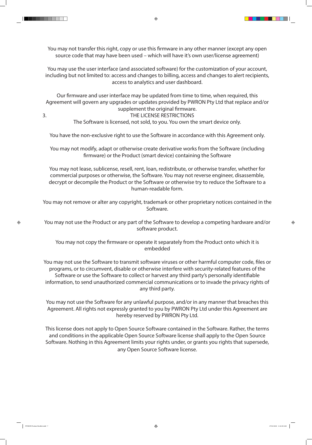



You may not transfer this right, copy or use this firmware in any other manner (except any open source code that may have been used – which will have it's own user/license agreement)

 $\bigoplus$ 

You may use the user interface (and associated software) for the customization of your account, including but not limited to: access and changes to billing, access and changes to alert recipients, access to analytics and user dashboard.

Our firmware and user interface may be updated from time to time, when required, this Agreement will govern any upgrades or updates provided by PWRON Pty Ltd that replace and/or supplement the original firmware. 3. THE LICENSE RESTRICTIONS The Software is licensed, not sold, to you. You own the smart device only.

You have the non-exclusive right to use the Software in accordance with this Agreement only.

You may not modify, adapt or otherwise create derivative works from the Software (including firmware) or the Product (smart device) containing the Software

You may not lease, sublicense, resell, rent, loan, redistribute, or otherwise transfer, whether for commercial purposes or otherwise, the Software. You may not reverse engineer, disassemble, decrypt or decompile the Product or the Software or otherwise try to reduce the Software to a human-readable form.

You may not remove or alter any copyright, trademark or other proprietary notices contained in the Software.

You may not use the Product or any part of the Software to develop a competing hardware and/or software product.

You may not copy the firmware or operate it separately from the Product onto which it is embedded



You may not use the Software to transmit software viruses or other harmful computer code, files or programs, or to circumvent, disable or otherwise interfere with security-related features of the Software or use the Software to collect or harvest any third party's personally identifiable information, to send unauthorized commercial communications or to invade the privacy rights of any third party.

You may not use the Software for any unlawful purpose, and/or in any manner that breaches this Agreement. All rights not expressly granted to you by PWRON Pty Ltd under this Agreement are hereby reserved by PWRON Pty Ltd.

This license does not apply to Open Source Software contained in the Software. Rather, the terms and conditions in the applicable Open Source Software license shall apply to the Open Source Software. Nothing in this Agreement limits your rights under, or grants you rights that supersede, any Open Source Software license.

 $\bigoplus$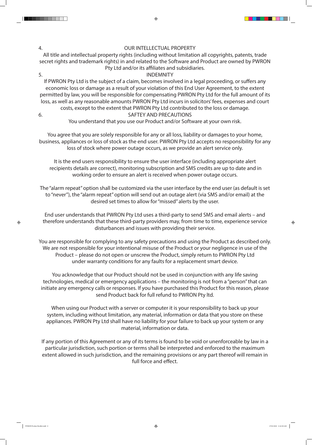## 4. OUR INTELLECTUAL PROPERTY

All title and intellectual property rights (including without limitation all copyrights, patents, trade secret rights and trademark rights) in and related to the Software and Product are owned by PWRON Pty Ltd and/or its affiliates and subsidiaries.

 $\bigoplus$ 

### 5. INDEMNITY

If PWRON Pty Ltd is the subject of a claim, becomes involved in a legal proceeding, or suffers any economic loss or damage as a result of your violation of this End User Agreement, to the extent permitted by law, you will be responsible for compensating PWRON Pty Ltd for the full amount of its loss, as well as any reasonable amounts PWRON Pty Ltd incurs in solicitors' fees, expenses and court costs, except to the extent that PWRON Pty Ltd contributed to the loss or damage. 6. SAFTEY AND PRECAUTIONS You understand that you use our Product and/or Software at your own risk.

You agree that you are solely responsible for any or all loss, liability or damages to your home, business, appliances or loss of stock as the end user. PWRON Pty Ltd accepts no responsibility for any loss of stock where power outage occurs, as we provide an alert service only.

It is the end users responsibility to ensure the user interface (including appropriate alert recipients details are correct), monitoring subscription and SMS credits are up to date and in working order to ensure an alert is received when power outage occurs.

The "alarm repeat" option shall be customized via the user interface by the end user (as default is set to "never"), the "alarm repeat" option will send out an outage alert (via SMS and/or email) at the desired set times to allow for "missed" alerts by the user.

End user understands that PWRON Pty Ltd uses a third-party to send SMS and email alerts – and therefore understands that these third-party providers may, from time to time, experience service disturbances and issues with providing their service.

You are responsible for complying to any safety precautions and using the Product as described only. We are not responsible for your intentional misuse of the Product or your negligence in use of the Product – please do not open or unscrew the Product, simply return to PWRON Pty Ltd under warranty conditions for any faults for a replacement smart device.

You acknowledge that our Product should not be used in conjunction with any life saving technologies, medical or emergency applications – the monitoring is not from a "person" that can initiate any emergency calls or responses. If you have purchased this Product for this reason, please send Product back for full refund to PWRON Pty ltd.

When using our Product with a server or computer it is your responsibility to back up your system, including without limitation, any material, information or data that you store on these appliances. PWRON Pty Ltd shall have no liability for your failure to back up your system or any material, information or data.

If any portion of this Agreement or any of its terms is found to be void or unenforceable by law in a particular jurisdiction, such portion or terms shall be interpreted and enforced to the maximum extent allowed in such jurisdiction, and the remaining provisions or any part thereof will remain in full force and effect.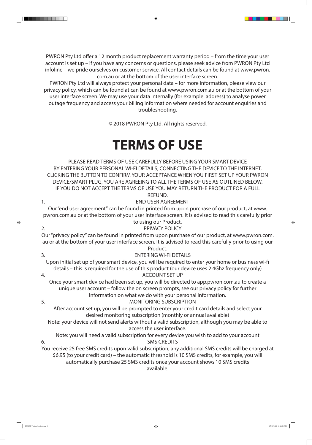

PWRON Pty Ltd offer a 12 month product replacement warranty period – from the time your user account is set up – if you have any concerns or questions, please seek advice from PWRON Pty Ltd infoline – we pride ourselves on customer service. All contact details can be found at www.pwron. com.au or at the bottom of the user interface screen.

 $\bigoplus$ 

PWRON Pty Ltd will always protect your personal data – for more information, please view our privacy policy, which can be found at can be found at www.pwron.com.au or at the bottom of your user interface screen. We may use your data internally (for example: address) to analyse power outage frequency and access your billing information where needed for account enquiries and troubleshooting.

Our "end user agreement" can be found in printed from upon purchase of our product, at www. pwron.com.au or at the bottom of your user interface screen. It is advised to read this carefully prior to using our Product. 2. PRIVACY POLICY

 $\bigoplus$ 

 $\bigoplus$ 

© 2018 PWRON Pty Ltd. All rights reserved.

## **TERMS OF USE**

PLEASE READ TERMS OF USE CAREFULLY BEFORE USING YOUR SMART DEVICE BY ENTERING YOUR PERSONAL WI-FI DETAILS, CONNECTING THE DEVICE TO THE INTERNET, CLICKING THE BUTTON TO CONFIRM YOUR ACCEPTANCE WHEN YOU FIRST SET UP YOUR PWRON DEVICE/SMART PLUG, YOU ARE AGREEING TO ALL THE TERMS OF USE AS OUTLINED BELOW. IF YOU DO NOT ACCEPT THE TERMS OF USE YOU MAY RETURN THE PRODUCT FOR A FULL REFUND.

1. END USER AGREEMENT

Our "privacy policy" can be found in printed from upon purchase of our product, at www.pwron.com. au or at the bottom of your user interface screen. It is advised to read this carefully prior to using our Product.

| T TUUUC                                                                                                                                                                                                                                                                                   |
|-------------------------------------------------------------------------------------------------------------------------------------------------------------------------------------------------------------------------------------------------------------------------------------------|
| <b>ENTERING WI-FI DETAILS</b><br>3.                                                                                                                                                                                                                                                       |
| Upon initial set up of your smart device, you will be required to enter your home or business wi-fi                                                                                                                                                                                       |
| details – this is required for the use of this product (our device uses 2.4Ghz frequency only)                                                                                                                                                                                            |
| <b>ACCOUNT SET UP</b><br>4.                                                                                                                                                                                                                                                               |
| Once your smart device had been set up, you will be directed to app.pwron.com.au to create a                                                                                                                                                                                              |
| unique user account – follow the on screen prompts, see our privacy policy for further                                                                                                                                                                                                    |
| information on what we do with your personal information.                                                                                                                                                                                                                                 |
| <b>MONITORING SUBSCRIPTION</b><br>5.                                                                                                                                                                                                                                                      |
| After account set up, you will be prompted to enter your credit card details and select your                                                                                                                                                                                              |
| desired monitoring subscription (monthly or annual available)                                                                                                                                                                                                                             |
| Note: your device will not send alerts without a valid subscription, although you may be able to                                                                                                                                                                                          |
| access the user interface.                                                                                                                                                                                                                                                                |
| Note: you will need a valid subscription for every device you wish to add to your account                                                                                                                                                                                                 |
| <b>SMS CREDITS</b><br>6.                                                                                                                                                                                                                                                                  |
| You receive 25 free SMS credits upon valid subscription, any additional SMS credits will be charged at<br>\$6.95 (to your credit card) - the automatic threshold is 10 SMS credits, for example, you will<br>automatically purchase 25 SMS credits once your account shows 10 SMS credits |
| available.                                                                                                                                                                                                                                                                                |
|                                                                                                                                                                                                                                                                                           |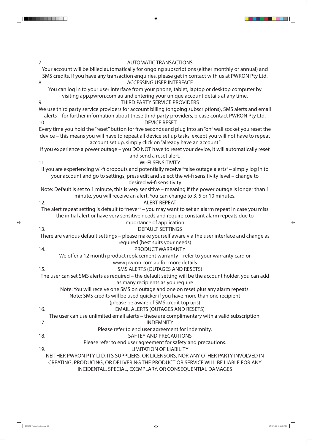7. AUTOMATIC TRANSACTIONS Your account will be billed automatically for ongoing subscriptions (either monthly or annual) and SMS credits. If you have any transaction enquiries, please get in contact with us at PWRON Pty Ltd. 8. ACCESSING USER INTERFACE You can log in to your user interface from your phone, tablet, laptop or desktop computer by visiting app.pwron.com.au and entering your unique account details at any time. 9. THIRD PARTY SERVICE PROVIDERS We use third party service providers for account billing (ongoing subscriptions), SMS alerts and email alerts – for further information about these third party providers, please contact PWRON Pty Ltd. 10. DEVICE RESET Every time you hold the "reset" button for five seconds and plug into an "on" wall socket you reset the device – this means you will have to repeat all device set up tasks, except you will not have to repeat account set up, simply click on "already have an account" If you experience a power outage – you DO NOT have to reset your device, it will automatically reset and send a reset alert. 11. WI-FI SENSITIVITY If you are experiencing wi-fi dropouts and potentially receive "false outage alerts" – simply log in to your account and go to settings, press edit and select the wi-fi sensitivity level – change to desired wi-fi sensitivity Note: Default is set to 1 minute, this is very sensitive – meaning if the power outage is longer than 1 minute, you will receive an alert. You can change to 3, 5 or 10 minutes. 12. ALERT REPEAT The alert repeat setting is default to "never" – you may want to set an alarm repeat in case you miss the initial alert or have very sensitive needs and require constant alarm repeats due to importance of application. 13. DEFAULT SETTINGS There are various default settings – please make yourself aware via the user interface and change as required (best suits your needs)

 $\bigoplus$ 

 $\bigoplus$ 

\_\_\_\_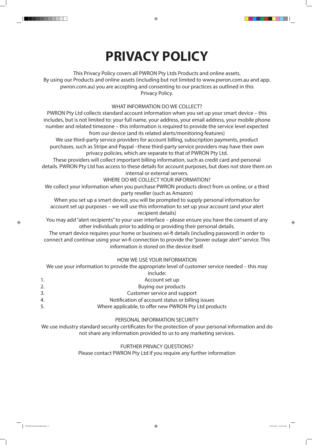

## **PRIVACY POLICY**

 $\bigoplus$ 

This Privacy Policy covers all PWRON Pty Ltds Products and online assets. By using our Products and online assets (including but not limited to www.pwron.com.au and app. pwron.com.au) you are accepting and consenting to our practices as outlined in this Privacy Policy.

## WHAT INFORMATION DO WE COLLECT?

PWRON Pty Ltd collects standard account information when you set up your smart device – this includes, but is not limited to: your full name, your address, your email address, your mobile phone number and related timezone – this information is required to provide the service level expected from our device (and its related alerts/monitoring features) We use third-party service providers for account billing, subscription payments, product purchases, such as Stripe and Paypal –these third-party service providers may have their own privacy policies, which are separate to that of PWRON Pty Ltd. These providers will collect important billing information, such as credit card and personal details. PWRON Pty Ltd has access to these details for account purposes, but does not store them on internal or external servers. WHERE DO WE COLLECT YOUR INFORMATION? We collect your information when you purchase PWRON products direct from us online, or a third

party reseller (such as Amazon)

When you set up a smart device, you will be prompted to supply personal information for account set up purposes – we will use this information to set up your account (and your alert recipient details)

You may add "alert recipients" to your user interface – please ensure you have the consent of any other individuals prior to adding or providing their personal details.

The smart device requires your home or business wi-fi details (including password) in order to connect and continue using your wi-fi connection to provide the "power outage alert" service. This information is stored on the device itself.

. . . .

### HOW WE USE YOUR INFORMATION

## We use your information to provide the appropriate level of customer service needed – this may

|    | include:                                              |
|----|-------------------------------------------------------|
|    | Account set up                                        |
|    | <b>Buying our products</b>                            |
| 3. | Customer service and support                          |
| 4. | Notification of account status or billing issues      |
| 5. | Where applicable, to offer new PWRON Pty Ltd products |

## PERSONAL INFORMATION SECURITY

We use industry standard security certificates for the protection of your personal information and do not share any information provided to us to any marketing services.

### FURTHER PRIVACY QUESTIONS? Please contact PWRON Pty Ltd if you require any further information